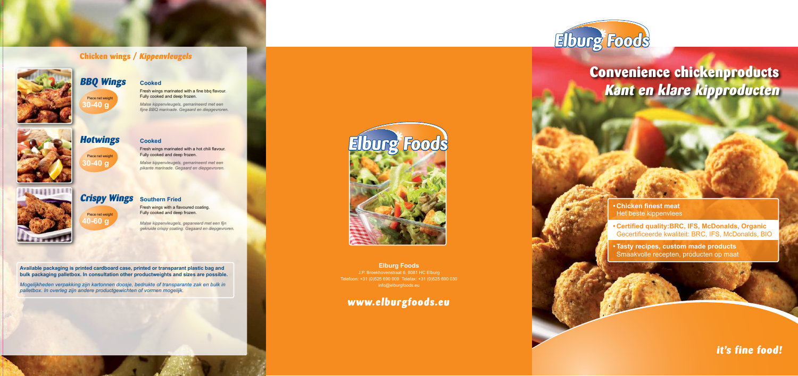# **it's fine food!**

**Elburg Foods** 

# **Convenience chickenproducts Kant en klare kipproducten**

## **Chicken wings / Kippenvleugels**



Fresh wings marinated with a fine bbg flavour. Fully cooked and deep frozen.



*Malse kippenvleugels, gemarineerd met een fijne BBQ marinade. Gegaard en diepgevroren.*

### **Cooked**

Fresh wings marinated with a hot chili flavour. Fully cooked and deep frozen.

*Malse kippenvleugels, gemarineerd met een pikante marinade. Gegaard en diepgevroren.*



**Southern Fried**

Fresh wings with a flavoured coating. Fully cooked and deep frozen.

*Malse kippenvleugels, gepaneerd met een fijn gekruide crispy coating. Gegaard en diepgevroren.*

# **BBQ Wings**

# **Hotwings**

# **Crispy Wings** Piece net weight

Piece net weight **30-40 g**



Piece net weight **30-40 g**

**40-60 g**



**Available packaging is printed cardboard case, printed or transparant plastic bag and bulk packaging palletbox. In consultation other productweights and sizes are possible.**

*Mogelijkheden verpakking zijn kartonnen doosje, bedrukte of transparante zak en bulk in palletbox. In overleg zijn andere productgewichten of vormen mogelijk.*

### **Elburg Foods** J.P. Broekhovenstraat 6, 8081 HC Elburg Telefoon: +31 (0)525 690 009 Telefax: +31 (0)525 690 030 info@elburgfoods.eu

# www.elburgfoods.eu





**• Certified quality:BRC, IFS, McDonalds, Organic** Gecertificeerde kwaliteit: BRC, IFS, McDonalds, BIO

**• Tasty recipes, custom made products** Smaakvolle recepten, producten op maat